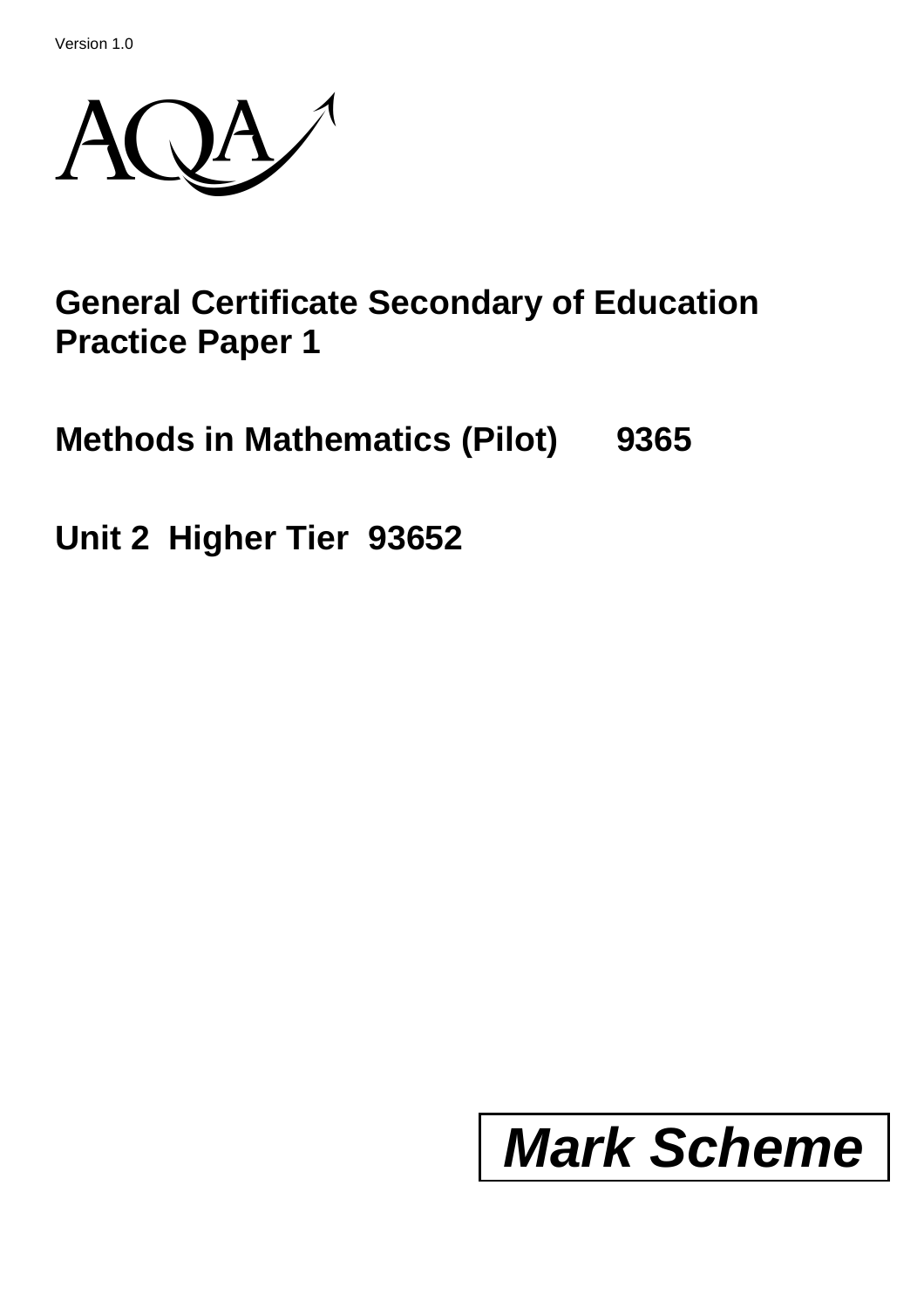Version 1.0



## **General Certificate Secondary of Education Practice Paper 1**

**Methods in Mathematics (Pilot) 9365**

**Unit 2 Higher Tier 93652**

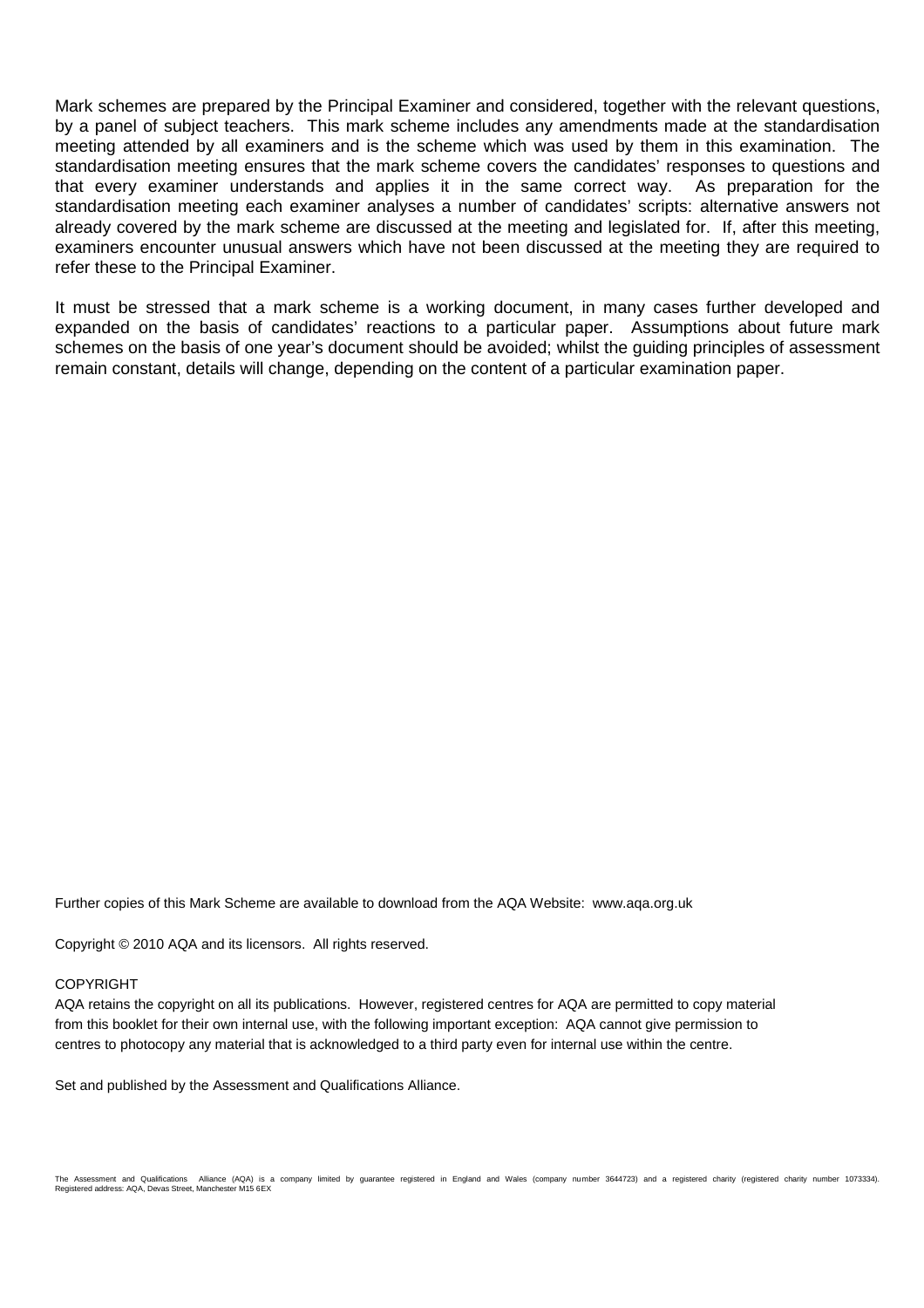Mark schemes are prepared by the Principal Examiner and considered, together with the relevant questions, by a panel of subject teachers. This mark scheme includes any amendments made at the standardisation meeting attended by all examiners and is the scheme which was used by them in this examination. The standardisation meeting ensures that the mark scheme covers the candidates' responses to questions and that every examiner understands and applies it in the same correct way. As preparation for the standardisation meeting each examiner analyses a number of candidates' scripts: alternative answers not already covered by the mark scheme are discussed at the meeting and legislated for. If, after this meeting, examiners encounter unusual answers which have not been discussed at the meeting they are required to refer these to the Principal Examiner.

It must be stressed that a mark scheme is a working document, in many cases further developed and expanded on the basis of candidates' reactions to a particular paper. Assumptions about future mark schemes on the basis of one year's document should be avoided; whilst the guiding principles of assessment remain constant, details will change, depending on the content of a particular examination paper.

Further copies of this Mark Scheme are available to download from the AQA Website: www.aqa.org.uk

Copyright © 2010 AQA and its licensors. All rights reserved.

## **COPYRIGHT**

AQA retains the copyright on all its publications. However, registered centres for AQA are permitted to copy material from this booklet for their own internal use, with the following important exception: AQA cannot give permission to centres to photocopy any material that is acknowledged to a third party even for internal use within the centre.

Set and published by the Assessment and Qualifications Alliance.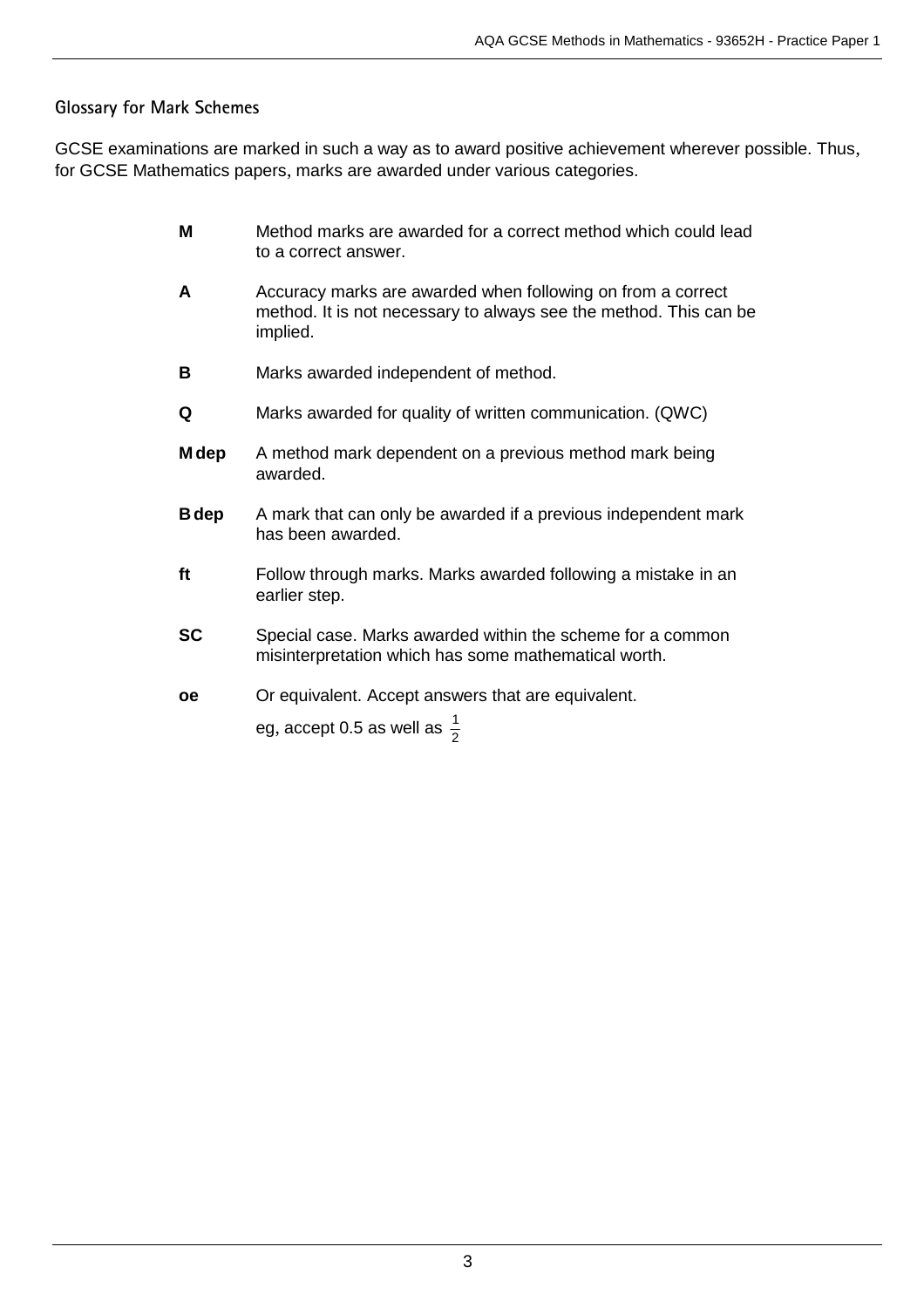## **Glossary for Mark Schemes**

GCSE examinations are marked in such a way as to award positive achievement wherever possible. Thus, for GCSE Mathematics papers, marks are awarded under various categories.

- **M** Method marks are awarded for a correct method which could lead to a correct answer.
- **A** Accuracy marks are awarded when following on from a correct method. It is not necessary to always see the method. This can be implied.
- **B** Marks awarded independent of method.
- **Q** Marks awarded for quality of written communication. (QWC)
- **M dep** A method mark dependent on a previous method mark being awarded.
- **B dep** A mark that can only be awarded if a previous independent mark has been awarded.
- **ft** Follow through marks. Marks awarded following a mistake in an earlier step.
- **SC** Special case. Marks awarded within the scheme for a common misinterpretation which has some mathematical worth.
- **oe** Or equivalent. Accept answers that are equivalent.

eg, accept 0.5 as well as  $\frac{1}{2}$ 1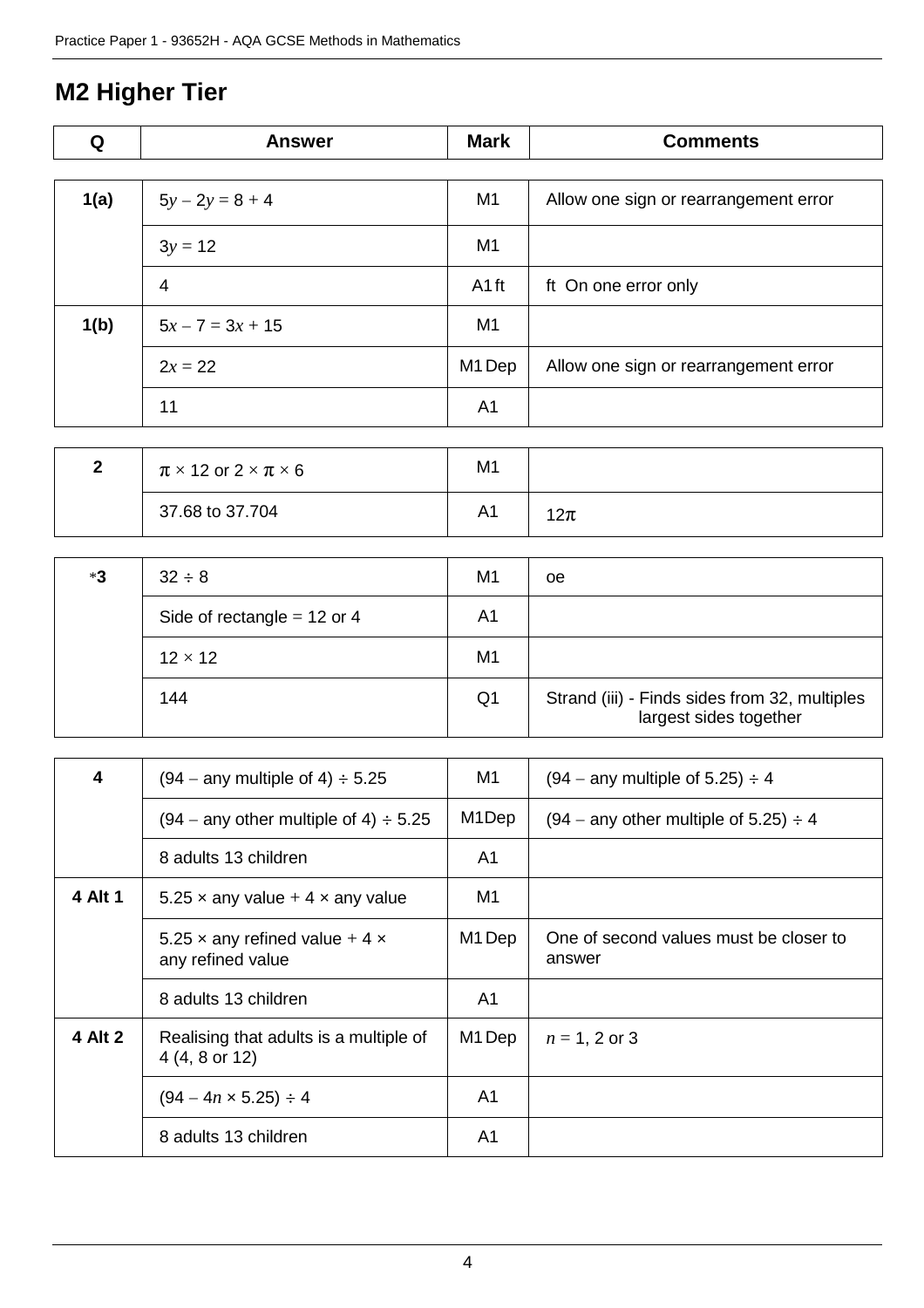## **M2 Higher Tier**

| Q    | <b>Answer</b>      | <b>Mark</b>       | <b>Comments</b>                       |
|------|--------------------|-------------------|---------------------------------------|
|      |                    |                   |                                       |
| 1(a) | $5y - 2y = 8 + 4$  | M <sub>1</sub>    | Allow one sign or rearrangement error |
|      | $3y = 12$          | M <sub>1</sub>    |                                       |
|      | 4                  | A <sub>1</sub> ft | ft On one error only                  |
| 1(b) | $5x - 7 = 3x + 15$ | M1                |                                       |
|      | $2x = 22$          | M1 Dep            | Allow one sign or rearrangement error |
|      | 11                 | A <sub>1</sub>    |                                       |

| - | $\pi \times 12$ or $2 \times \pi \times 6$ | M1 |    |
|---|--------------------------------------------|----|----|
|   | 37.68 to 37.704                            | A1 | 2π |

| *3 | $32 \div 8$                   | M <sub>1</sub> | oе                                                                      |
|----|-------------------------------|----------------|-------------------------------------------------------------------------|
|    | Side of rectangle = $12$ or 4 | A1             |                                                                         |
|    | $12 \times 12$                | M <sub>1</sub> |                                                                         |
|    | 144                           | Q <sub>1</sub> | Strand (iii) - Finds sides from 32, multiples<br>largest sides together |

| 4       | $(94 -$ any multiple of 4) $\div$ 5.25                   | M1                 | $(94 -$ any multiple of 5.25) $\div$ 4           |
|---------|----------------------------------------------------------|--------------------|--------------------------------------------------|
|         | $(94 -$ any other multiple of 4) $\div$ 5.25             | M <sub>1</sub> Dep | $(94 -$ any other multiple of 5.25) $\div$ 4     |
|         | 8 adults 13 children                                     | A1                 |                                                  |
| 4 Alt 1 | 5.25 x any value $+4$ x any value                        | M1                 |                                                  |
|         | 5.25 x any refined value $+4x$<br>any refined value      | M <sub>1</sub> Dep | One of second values must be closer to<br>answer |
|         | 8 adults 13 children                                     | A <sub>1</sub>     |                                                  |
| 4 Alt 2 | Realising that adults is a multiple of<br>4 (4, 8 or 12) | M <sub>1</sub> Dep | $n = 1, 2$ or 3                                  |
|         | $(94 - 4n \times 5.25) \div 4$                           | A <sub>1</sub>     |                                                  |
|         | 8 adults 13 children                                     | A <sub>1</sub>     |                                                  |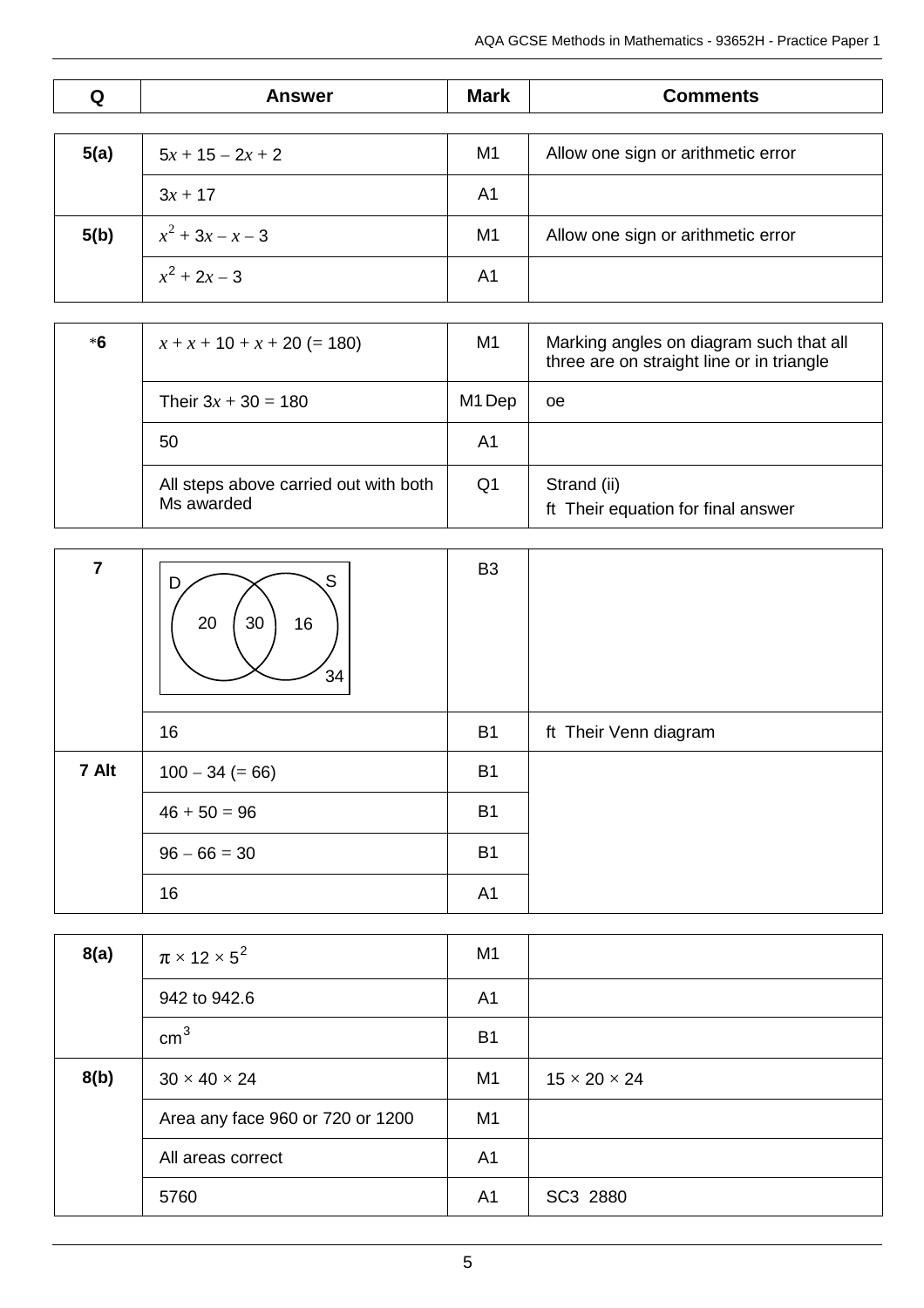| Q    | <b>Answer</b>                         | <b>Mark</b>    | <b>Comments</b>                                                                      |
|------|---------------------------------------|----------------|--------------------------------------------------------------------------------------|
|      |                                       |                |                                                                                      |
| 5(a) | $5x + 15 - 2x + 2$                    | M1             | Allow one sign or arithmetic error                                                   |
|      | $3x + 17$                             | A <sub>1</sub> |                                                                                      |
| 5(b) | $x^2 + 3x - x - 3$                    | M <sub>1</sub> | Allow one sign or arithmetic error                                                   |
|      | $x^2 + 2x - 3$                        | A <sub>1</sub> |                                                                                      |
|      |                                       |                |                                                                                      |
| $*6$ | $x + x + 10 + x + 20 (= 180)$         | M1             | Marking angles on diagram such that all<br>three are on straight line or in triangle |
|      | Their $3x + 30 = 180$                 | M1 Dep         | <sub>0e</sub>                                                                        |
|      | 50                                    | A <sub>1</sub> |                                                                                      |
|      | All steps above carried out with both | Q <sub>1</sub> | Strand (ii)                                                                          |
|      | Ms awarded                            |                | ft Their equation for final answer                                                   |
|      |                                       |                |                                                                                      |
|      |                                       | פם             |                                                                                      |

| 7     | S<br>D<br>30<br>20<br>16<br>34 | B <sub>3</sub> |                       |
|-------|--------------------------------|----------------|-----------------------|
|       | 16                             | <b>B1</b>      | ft Their Venn diagram |
| 7 Alt | $100 - 34 (= 66)$              | <b>B1</b>      |                       |
|       | $46 + 50 = 96$                 | <b>B1</b>      |                       |
|       | $96 - 66 = 30$                 | <b>B1</b>      |                       |
|       | 16                             | A1             |                       |

| 8(a) | $\pi \times 12 \times 5^2$       | M <sub>1</sub> |                          |
|------|----------------------------------|----------------|--------------------------|
|      | 942 to 942.6                     | A <sub>1</sub> |                          |
|      | cm <sup>3</sup>                  | B <sub>1</sub> |                          |
| 8(b) | $30 \times 40 \times 24$         | M1             | $15 \times 20 \times 24$ |
|      | Area any face 960 or 720 or 1200 | M <sub>1</sub> |                          |
|      | All areas correct                | A <sub>1</sub> |                          |
|      | 5760                             | A <sub>1</sub> | SC3 2880                 |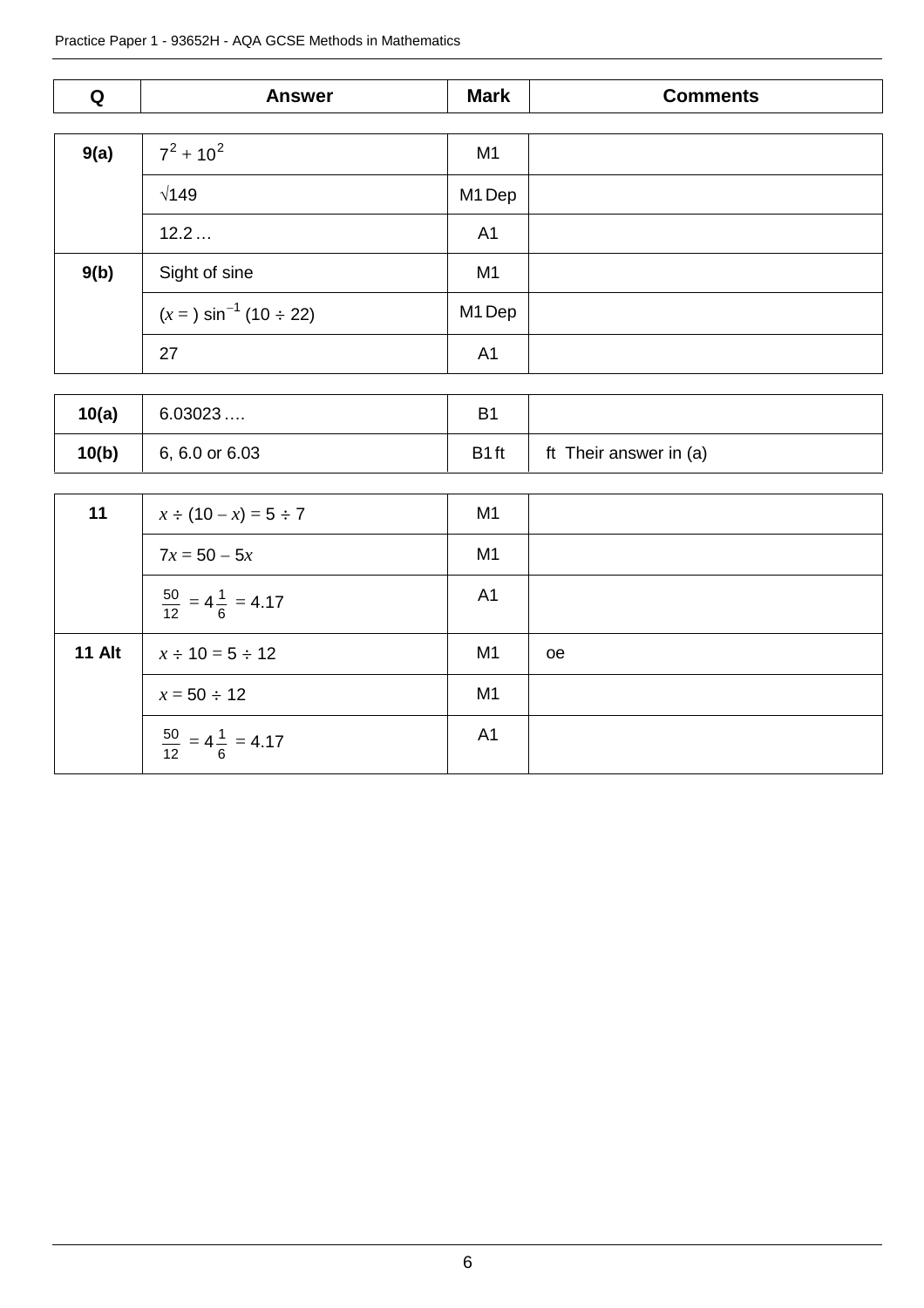| Q    | <b>Answer</b>                    | <b>Mark</b>    | <b>Comments</b> |
|------|----------------------------------|----------------|-----------------|
|      |                                  |                |                 |
| 9(a) | $7^2 + 10^2$                     | M <sub>1</sub> |                 |
|      | $\sqrt{149}$                     | M1 Dep         |                 |
|      | 12.2                             | A <sub>1</sub> |                 |
| 9(b) | Sight of sine                    | M <sub>1</sub> |                 |
|      | $(x = 3 \sin^{-1} (10 \div 22))$ | M1 Dep         |                 |
|      | 27                               | A <sub>1</sub> |                 |

| 10(a) | 6.03023        | B <sub>1</sub>    |                        |
|-------|----------------|-------------------|------------------------|
| 10(b) | 6, 6.0 or 6.03 | B <sub>1</sub> ft | ft Their answer in (a) |

| 11            | $x \div (10 - x) = 5 \div 7$             | M <sub>1</sub> |               |
|---------------|------------------------------------------|----------------|---------------|
|               | $7x = 50 - 5x$                           | M <sub>1</sub> |               |
|               | $\frac{50}{12}$ = 4 $\frac{1}{6}$ = 4.17 | A <sub>1</sub> |               |
| <b>11 Alt</b> | $x \div 10 = 5 \div 12$                  | M <sub>1</sub> | <sub>oe</sub> |
|               | $x = 50 \div 12$                         | M <sub>1</sub> |               |
|               | $\frac{50}{12}$ = 4 $\frac{1}{6}$ = 4.17 | A <sub>1</sub> |               |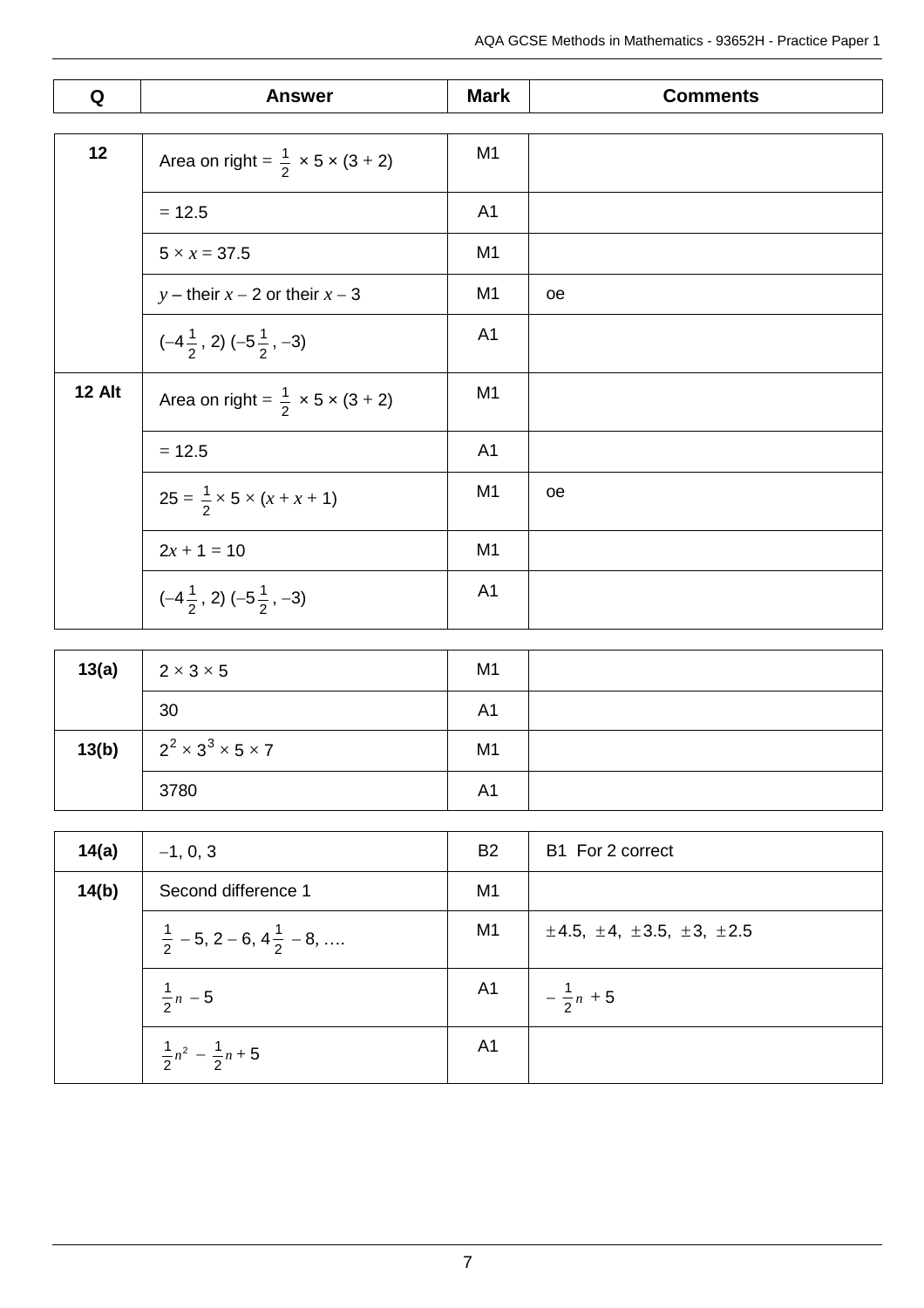| Q      | <b>Answer</b>                                                    | <b>Mark</b>    | <b>Comments</b> |
|--------|------------------------------------------------------------------|----------------|-----------------|
|        |                                                                  |                |                 |
| 12     | Area on right = $\frac{1}{2} \times 5 \times (3 + 2)$            | M <sub>1</sub> |                 |
|        | $= 12.5$                                                         | A <sub>1</sub> |                 |
|        | $5 \times x = 37.5$                                              | M1             |                 |
|        | y – their $x - 2$ or their $x - 3$                               | M <sub>1</sub> | <sub>oe</sub>   |
|        | $(-4\frac{1}{2}, 2) (-5\frac{1}{2}, -3)$                         | A <sub>1</sub> |                 |
| 12 Alt | Area on right = $\frac{1}{2} \times 5 \times (3 + 2)$            | M <sub>1</sub> |                 |
|        | $= 12.5$                                                         | A <sub>1</sub> |                 |
|        | $25 = \frac{1}{2} \times 5 \times (x + x + 1)$                   | M <sub>1</sub> | oe              |
|        | $2x + 1 = 10$                                                    | M1             |                 |
|        | $\left(-4\frac{1}{2}, 2\right)$ $\left(-5\frac{1}{2}, -3\right)$ | A <sub>1</sub> |                 |

| 13(a) | $2 \times 3 \times 5$              | M <sub>1</sub> |  |
|-------|------------------------------------|----------------|--|
|       | 30                                 | A <sub>1</sub> |  |
| 13(b) | $2^2 \times 3^3 \times 5 \times 7$ | M <sub>1</sub> |  |
|       | 3780                               | A <sub>1</sub> |  |

| 14(a) | $-1, 0, 3$                                     | <b>B2</b> | B1 For 2 correct                          |
|-------|------------------------------------------------|-----------|-------------------------------------------|
| 14(b) | Second difference 1                            | M1        |                                           |
|       | $\frac{1}{2}$ – 5, 2 – 6, 4 $\frac{1}{2}$ – 8, | M1        | $\pm 4.5, \pm 4, \pm 3.5, \pm 3, \pm 2.5$ |
|       | $\frac{1}{2}n - 5$                             |           | A1 $-\frac{1}{2}n + 5$                    |
|       | $\frac{1}{2}n^2 - \frac{1}{2}n + 5$            | A1        |                                           |